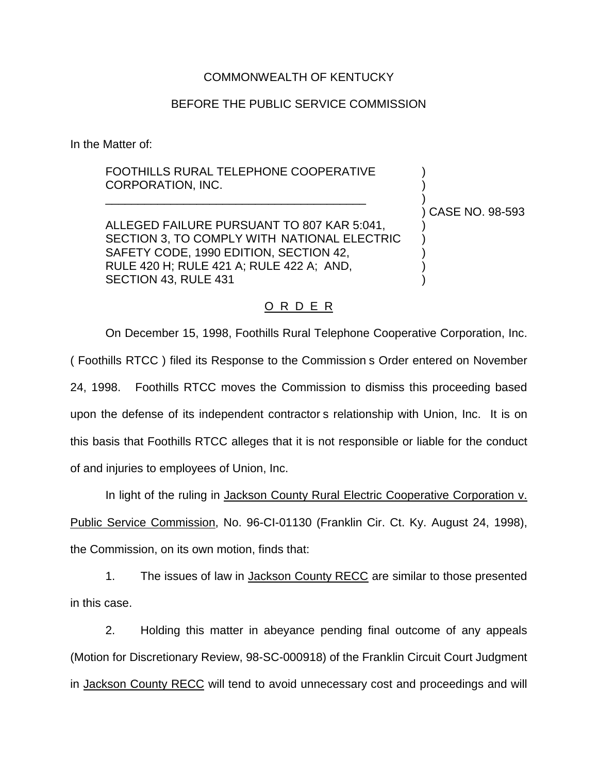## COMMONWEALTH OF KENTUCKY

## BEFORE THE PUBLIC SERVICE COMMISSION

In the Matter of:

## FOOTHILLS RURAL TELEPHONE COOPERATIVE CORPORATION, INC. )

ALLEGED FAILURE PURSUANT TO 807 KAR 5:041, SECTION 3, TO COMPLY WITH NATIONAL ELECTRIC SAFETY CODE, 1990 EDITION, SECTION 42, RULE 420 H; RULE 421 A; RULE 422 A; AND, ) SECTION 43, RULE 431 )

\_\_\_\_\_\_\_\_\_\_\_\_\_\_\_\_\_\_\_\_\_\_\_\_\_\_\_\_\_\_\_\_\_\_\_\_\_\_\_\_ )

) CASE NO. 98-593

## O R D E R

On December 15, 1998, Foothills Rural Telephone Cooperative Corporation, Inc. ( Foothills RTCC ) filed its Response to the Commission s Order entered on November 24, 1998. Foothills RTCC moves the Commission to dismiss this proceeding based upon the defense of its independent contractor s relationship with Union, Inc. It is on this basis that Foothills RTCC alleges that it is not responsible or liable for the conduct of and injuries to employees of Union, Inc.

In light of the ruling in Jackson County Rural Electric Cooperative Corporation v. Public Service Commission, No. 96-CI-01130 (Franklin Cir. Ct. Ky. August 24, 1998), the Commission, on its own motion, finds that:

1. The issues of law in Jackson County RECC are similar to those presented in this case.

2. Holding this matter in abeyance pending final outcome of any appeals (Motion for Discretionary Review, 98-SC-000918) of the Franklin Circuit Court Judgment in Jackson County RECC will tend to avoid unnecessary cost and proceedings and will